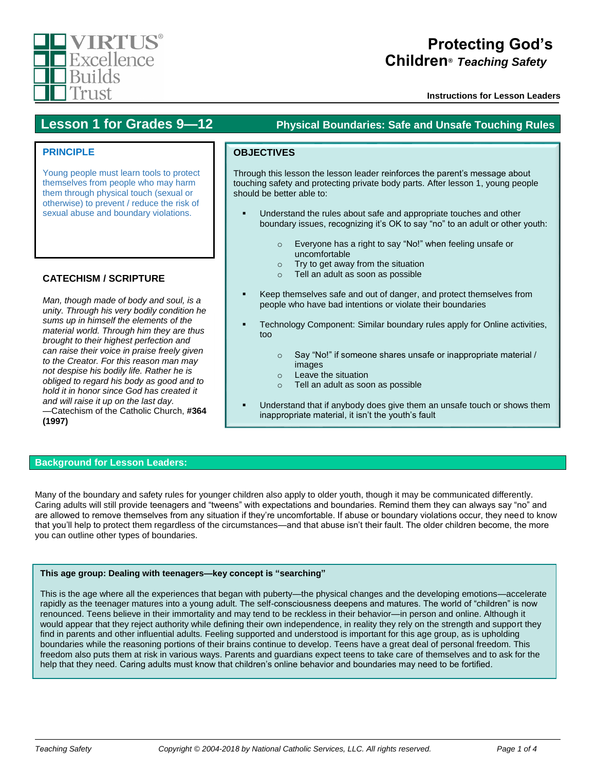

# **Protecting God's Children***® Teaching Safety™*

**Instructions for Lesson Leaders**

# **Lesson 1 for Grades 9—12 Physical Boundaries: Safe and Unsafe Touching Rules**

# **PRINCIPLE**

Young people must learn tools to protect themselves from people who may harm them through physical touch (sexual or otherwise) to prevent / reduce the risk of sexual abuse and boundary violations.

# **CATECHISM / SCRIPTURE**

*Man, though made of body and soul, is a unity. Through his very bodily condition he sums up in himself the elements of the material world. Through him they are thus brought to their highest perfection and can raise their voice in praise freely given to the Creator. For this reason man may not despise his bodily life. Rather he is obliged to regard his body as good and to hold it in honor since God has created it and will raise it up on the last day.* —Catechism of the Catholic Church, **#364 (1997)**

# **OBJECTIVES**

Through this lesson the lesson leader reinforces the parent's message about touching safety and protecting private body parts. After lesson 1, young people should be better able to:

- Understand the rules about safe and appropriate touches and other boundary issues, recognizing it's OK to say "no" to an adult or other youth:
	- o Everyone has a right to say "No!" when feeling unsafe or uncomfortable
	- o Try to get away from the situation
	- o Tell an adult as soon as possible
- Keep themselves safe and out of danger, and protect themselves from people who have bad intentions or violate their boundaries
- Technology Component: Similar boundary rules apply for Online activities, too
	- o Say "No!" if someone shares unsafe or inappropriate material / images
	- o Leave the situation
	- o Tell an adult as soon as possible
- Understand that if anybody does give them an unsafe touch or shows them inappropriate material, it isn't the youth's fault

## **Background for Lesson Leaders:**

Many of the boundary and safety rules for younger children also apply to older youth, though it may be communicated differently. Caring adults will still provide teenagers and "tweens" with expectations and boundaries. Remind them they can always say "no" and are allowed to remove themselves from any situation if they're uncomfortable. If abuse or boundary violations occur, they need to know that you'll help to protect them regardless of the circumstances—and that abuse isn't their fault. The older children become, the more you can outline other types of boundaries.

## **This age group: Dealing with teenagers—key concept is "searching"**

This is the age where all the experiences that began with puberty—the physical changes and the developing emotions—accelerate rapidly as the teenager matures into a young adult. The self-consciousness deepens and matures. The world of "children" is now renounced. Teens believe in their immortality and may tend to be reckless in their behavior—in person and online. Although it would appear that they reject authority while defining their own independence, in reality they rely on the strength and support they find in parents and other influential adults. Feeling supported and understood is important for this age group, as is upholding boundaries while the reasoning portions of their brains continue to develop. Teens have a great deal of personal freedom. This freedom also puts them at risk in various ways. Parents and guardians expect teens to take care of themselves and to ask for the help that they need. Caring adults must know that children's online behavior and boundaries may need to be fortified.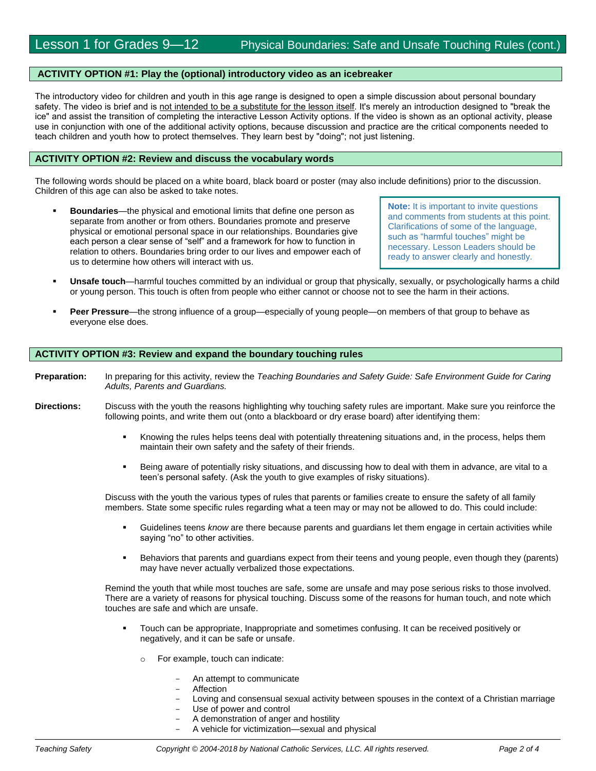#### **ACTIVITY OPTION #1: Play the (optional) introductory video as an icebreaker**

The introductory video for children and youth in this age range is designed to open a simple discussion about personal boundary safety. The video is brief and is not intended to be a substitute for the lesson itself. It's merely an introduction designed to "break the ice" and assist the transition of completing the interactive Lesson Activity options. If the video is shown as an optional activity, please use in conjunction with one of the additional activity options, because discussion and practice are the critical components needed to teach children and youth how to protect themselves. They learn best by "doing"; not just listening.

#### **ACTIVITY OPTION #2: Review and discuss the vocabulary words**

The following words should be placed on a white board, black board or poster (may also include definitions) prior to the discussion. Children of this age can also be asked to take notes.

 **Boundaries**—the physical and emotional limits that define one person as separate from another or from others. Boundaries promote and preserve physical or emotional personal space in our relationships. Boundaries give each person a clear sense of "self" and a framework for how to function in relation to others. Boundaries bring order to our lives and empower each of us to determine how others will interact with us.

**Note:** It is important to invite questions and comments from students at this point. Clarifications of some of the language, such as "harmful touches" might be necessary. Lesson Leaders should be ready to answer clearly and honestly.

- **Unsafe touch**—harmful touches committed by an individual or group that physically, sexually, or psychologically harms a child or young person. This touch is often from people who either cannot or choose not to see the harm in their actions.
- **Peer Pressure**—the strong influence of a group—especially of young people—on members of that group to behave as everyone else does.

#### **ACTIVITY OPTION #3: Review and expand the boundary touching rules**

- **Preparation:** In preparing for this activity, review the *Teaching Boundaries and Safety Guide: Safe Environment Guide for Caring Adults, Parents and Guardians.*
- **Directions:** Discuss with the youth the reasons highlighting why touching safety rules are important. Make sure you reinforce the following points, and write them out (onto a blackboard or dry erase board) after identifying them:
	- Knowing the rules helps teens deal with potentially threatening situations and, in the process, helps them maintain their own safety and the safety of their friends.
	- Being aware of potentially risky situations, and discussing how to deal with them in advance, are vital to a teen's personal safety. (Ask the youth to give examples of risky situations).

Discuss with the youth the various types of rules that parents or families create to ensure the safety of all family members. State some specific rules regarding what a teen may or may not be allowed to do. This could include:

- Guidelines teens *know* are there because parents and guardians let them engage in certain activities while saying "no" to other activities.
- **Behaviors that parents and guardians expect from their teens and young people, even though they (parents)** may have never actually verbalized those expectations.

Remind the youth that while most touches are safe, some are unsafe and may pose serious risks to those involved. There are a variety of reasons for physical touching. Discuss some of the reasons for human touch, and note which touches are safe and which are unsafe.

- Touch can be appropriate, Inappropriate and sometimes confusing. It can be received positively or negatively, and it can be safe or unsafe.
	- o For example, touch can indicate:
		- An attempt to communicate
		- **Affection**
		- Loving and consensual sexual activity between spouses in the context of a Christian marriage
		- Use of power and control
		- A demonstration of anger and hostility
		- A vehicle for victimization—sexual and physical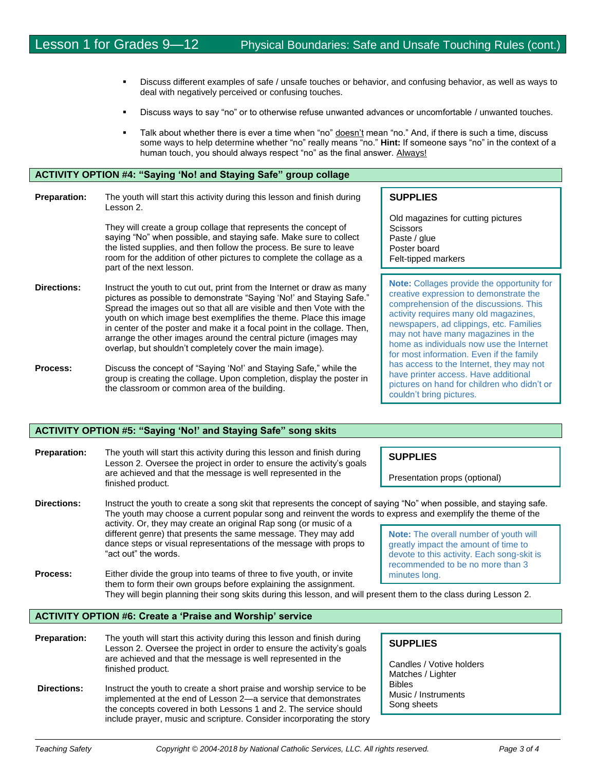- Discuss different examples of safe / unsafe touches or behavior, and confusing behavior, as well as ways to deal with negatively perceived or confusing touches.
- Discuss ways to say "no" or to otherwise refuse unwanted advances or uncomfortable / unwanted touches.
- Talk about whether there is ever a time when "no" doesn't mean "no." And, if there is such a time, discuss some ways to help determine whether "no" really means "no." **Hint:** If someone says "no" in the context of a human touch, you should always respect "no" as the final answer. Always!

## **ACTIVITY OPTION #4: "Saying 'No! and Staying Safe" group collage**

| <b>Preparation:</b> | The youth will start this activity during this lesson and finish during<br>Lesson 2.                                                                                                                                                                                                                                                                                                                                                                                                                  |  |
|---------------------|-------------------------------------------------------------------------------------------------------------------------------------------------------------------------------------------------------------------------------------------------------------------------------------------------------------------------------------------------------------------------------------------------------------------------------------------------------------------------------------------------------|--|
|                     | They will create a group collage that represents the concept of<br>saying "No" when possible, and staying safe. Make sure to collect<br>the listed supplies, and then follow the process. Be sure to leave<br>room for the addition of other pictures to complete the collage as a<br>part of the next lesson.                                                                                                                                                                                        |  |
| <b>Directions:</b>  | Instruct the youth to cut out, print from the Internet or draw as many<br>pictures as possible to demonstrate "Saying 'No!' and Staying Safe."<br>Spread the images out so that all are visible and then Vote with the<br>youth on which image best exemplifies the theme. Place this image<br>in center of the poster and make it a focal point in the collage. Then,<br>arrange the other images around the central picture (images may<br>overlap, but shouldn't completely cover the main image). |  |
| <b>Drocacc</b>      | Discuss the concent of "Saving 'Nol' and Staving Safe " while the                                                                                                                                                                                                                                                                                                                                                                                                                                     |  |

**Process:** Discuss the concept of "Saying 'No!' and Staying Safe," while the group is creating the collage. Upon completion, display the poster in the classroom or common area of the building.

are achieved and that the message is well represented in the

implemented at the end of Lesson 2—a service that demonstrates the concepts covered in both Lessons 1 and 2. The service should include prayer, music and scripture. Consider incorporating the story

**Directions:** Instruct the youth to create a short praise and worship service to be

finished product.

**SUPPLIES**

Old magazines for cutting pictures Scissors Paste / glue Poster board Felt-tipped markers

**Note:** Collages provide the opportunity for creative expression to demonstrate the comprehension of the discussions. This activity requires many old magazines, newspapers, ad clippings, etc. Families may not have many magazines in the home as individuals now use the Internet for most information. Even if the family has access to the Internet, they may not have printer access. Have additional pictures on hand for children who didn't or couldn't bring pictures.

#### **ACTIVITY OPTION #5: "Saying 'No!' and Staying Safe" song skits**

| <b>Preparation:</b>                                              | The youth will start this activity during this lesson and finish during<br>Lesson 2. Oversee the project in order to ensure the activity's goals<br>are achieved and that the message is well represented in the<br>finished product.                                                                     | <b>SUPPLIES</b><br>Presentation props (optional)                                                                                                                        |  |
|------------------------------------------------------------------|-----------------------------------------------------------------------------------------------------------------------------------------------------------------------------------------------------------------------------------------------------------------------------------------------------------|-------------------------------------------------------------------------------------------------------------------------------------------------------------------------|--|
| <b>Directions:</b>                                               | Instruct the youth to create a song skit that represents the concept of saying "No" when possible, and staying safe.<br>The youth may choose a current popular song and reinvent the words to express and exemplify the theme of the<br>activity. Or, they may create an original Rap song (or music of a |                                                                                                                                                                         |  |
| "act out" the words.                                             | different genre) that presents the same message. They may add<br>dance steps or visual representations of the message with props to                                                                                                                                                                       | <b>Note:</b> The overall number of youth will<br>greatly impact the amount of time to<br>devote to this activity. Each song-skit is<br>recommended to be no more than 3 |  |
| Process:                                                         | Either divide the group into teams of three to five youth, or invite<br>minutes long.<br>them to form their own groups before explaining the assignment.<br>They will begin planning their song skits during this lesson, and will present them to the class during Lesson 2.                             |                                                                                                                                                                         |  |
| <b>ACTIVITY OPTION #6: Create a 'Praise and Worship' service</b> |                                                                                                                                                                                                                                                                                                           |                                                                                                                                                                         |  |
|                                                                  |                                                                                                                                                                                                                                                                                                           |                                                                                                                                                                         |  |
| <b>Preparation:</b>                                              | The youth will start this activity during this lesson and finish during<br>Lesson 2. Oversee the project in order to ensure the activity's goals                                                                                                                                                          | <b>SUPPLIES</b>                                                                                                                                                         |  |

Candles / Votive holders Matches / Lighter Bibles Music / Instruments Song sheets

I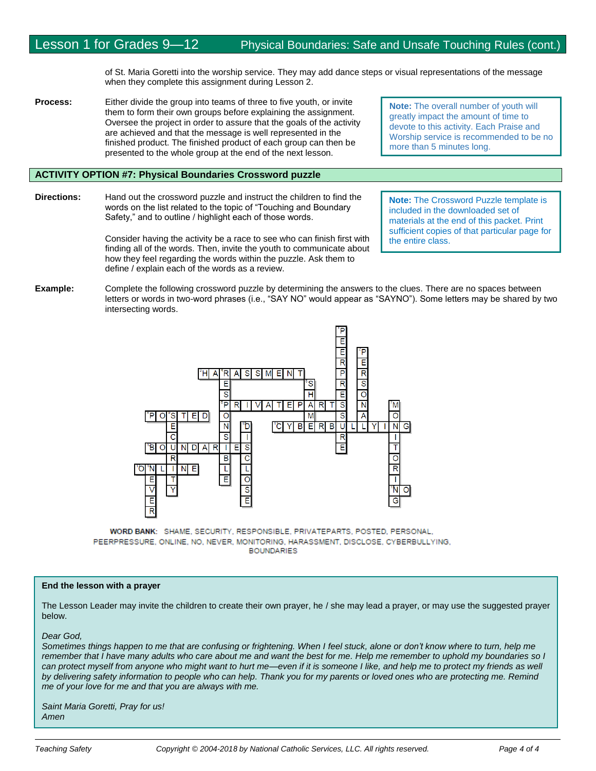of St. Maria Goretti into the worship service. They may add dance steps or visual representations of the message when they complete this assignment during Lesson 2.

**Process:** Either divide the group into teams of three to five youth, or invite them to form their own groups before explaining the assignment. Oversee the project in order to assure that the goals of the activity are achieved and that the message is well represented in the finished product. The finished product of each group can then be presented to the whole group at the end of the next lesson.

## **ACTIVITY OPTION #7: Physical Boundaries Crossword puzzle**

**Directions:** Hand out the crossword puzzle and instruct the children to find the words on the list related to the topic of "Touching and Boundary Safety," and to outline / highlight each of those words.

> Consider having the activity be a race to see who can finish first with finding all of the words. Then, invite the youth to communicate about how they feel regarding the words within the puzzle. Ask them to define / explain each of the words as a review.

**Note:** The overall number of youth will greatly impact the amount of time to devote to this activity. Each Praise and Worship service is recommended to be no more than 5 minutes long.

**Note:** The Crossword Puzzle template is included in the downloaded set of materials at the end of this packet. Print sufficient copies of that particular page for the entire class.

**Example:** Complete the following crossword puzzle by determining the answers to the clues. There are no spaces between letters or words in two-word phrases (i.e., "SAY NO" would appear as "SAYNO"). Some letters may be shared by two intersecting words.



WORD BANK: SHAME, SECURITY, RESPONSIBLE, PRIVATEPARTS, POSTED, PERSONAL, PEERPRESSURE, ONLINE, NO, NEVER, MONITORING, HARASSMENT, DISCLOSE, CYBERBULLYING, **BOUNDARIES** 

#### **End the lesson with a prayer**

The Lesson Leader may invite the children to create their own prayer, he / she may lead a prayer, or may use the suggested prayer below.

#### *Dear God,*

*Sometimes things happen to me that are confusing or frightening. When I feel stuck, alone or don't know where to turn, help me remember that I have many adults who care about me and want the best for me. Help me remember to uphold my boundaries so I*  can protect myself from anyone who might want to hurt me—even if it is someone I like, and help me to protect my friends as well *by delivering safety information to people who can help. Thank you for my parents or loved ones who are protecting me. Remind me of your love for me and that you are always with me.* 

*Saint Maria Goretti, Pray for us! Amen*